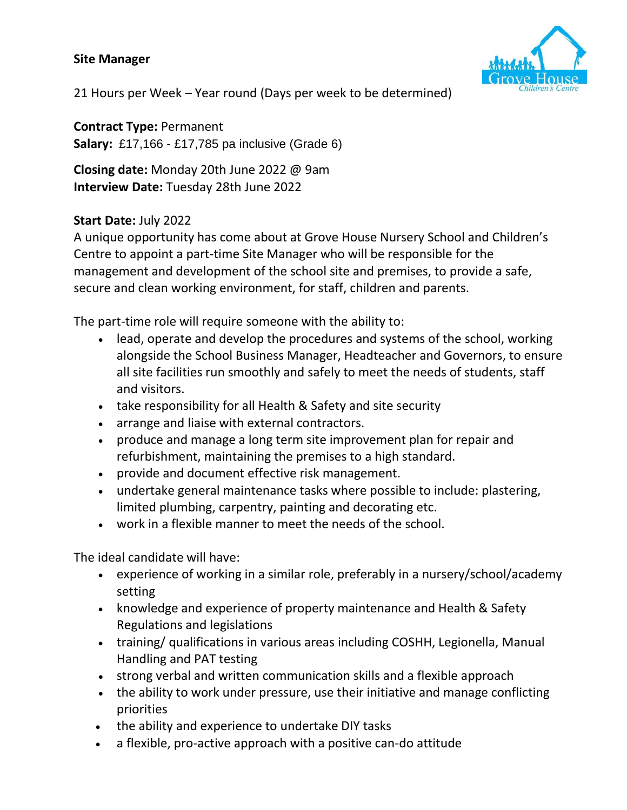## **Site Manager**



21 Hours per Week – Year round (Days per week to be determined)

**Contract Type:** Permanent **Salary:** £17,166 - £17,785 pa inclusive (Grade 6)

**Closing date:** Monday 20th June 2022 @ 9am **Interview Date:** Tuesday 28th June 2022

## **Start Date:** July 2022

A unique opportunity has come about at Grove House Nursery School and Children's Centre to appoint a part-time Site Manager who will be responsible for the management and development of the school site and premises, to provide a safe, secure and clean working environment, for staff, children and parents.

The part-time role will require someone with the ability to:

- lead, operate and develop the procedures and systems of the school, working alongside the School Business Manager, Headteacher and Governors, to ensure all site facilities run smoothly and safely to meet the needs of students, staff and visitors.
- take responsibility for all Health & Safety and site security
- arrange and liaise with external contractors.
- produce and manage a long term site improvement plan for repair and refurbishment, maintaining the premises to a high standard.
- provide and document effective risk management.
- undertake general maintenance tasks where possible to include: plastering, limited plumbing, carpentry, painting and decorating etc.
- work in a flexible manner to meet the needs of the school.

The ideal candidate will have:

- experience of working in a similar role, preferably in a nursery/school/academy setting
- knowledge and experience of property maintenance and Health & Safety Regulations and legislations
- training/ qualifications in various areas including COSHH, Legionella, Manual Handling and PAT testing
- strong verbal and written communication skills and a flexible approach
- the ability to work under pressure, use their initiative and manage conflicting priorities
- the ability and experience to undertake DIY tasks
- a flexible, pro-active approach with a positive can-do attitude